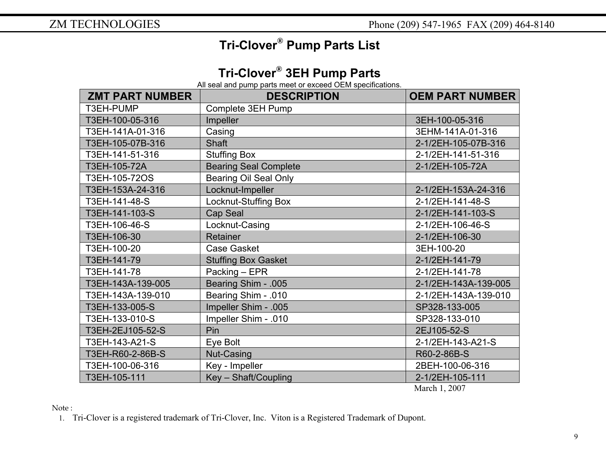## **Tri-Clover® Pump Parts List**

## **Tri-Clover® 3EH Pump Parts**

All seal and pump parts meet or exceed OEM specifications.

| <b>ZMT PART NUMBER</b> | <b>DESCRIPTION</b>           | <b>OEM PART NUMBER</b>  |
|------------------------|------------------------------|-------------------------|
| T3EH-PUMP              | Complete 3EH Pump            |                         |
| T3EH-100-05-316        | Impeller                     | 3EH-100-05-316          |
| T3EH-141A-01-316       | Casing                       | 3EHM-141A-01-316        |
| T3EH-105-07B-316       | <b>Shaft</b>                 | 2-1/2EH-105-07B-316     |
| T3EH-141-51-316        | <b>Stuffing Box</b>          | 2-1/2EH-141-51-316      |
| T3EH-105-72A           | <b>Bearing Seal Complete</b> | 2-1/2EH-105-72A         |
| T3EH-105-72OS          | <b>Bearing Oil Seal Only</b> |                         |
| T3EH-153A-24-316       | Locknut-Impeller             | 2-1/2EH-153A-24-316     |
| T3EH-141-48-S          | Locknut-Stuffing Box         | 2-1/2EH-141-48-S        |
| T3EH-141-103-S         | Cap Seal                     | 2-1/2EH-141-103-S       |
| T3EH-106-46-S          | Locknut-Casing               | 2-1/2EH-106-46-S        |
| T3EH-106-30            | <b>Retainer</b>              | 2-1/2EH-106-30          |
| T3EH-100-20            | <b>Case Gasket</b>           | 3EH-100-20              |
| T3EH-141-79            | <b>Stuffing Box Gasket</b>   | 2-1/2EH-141-79          |
| T3EH-141-78            | Packing - EPR                | 2-1/2EH-141-78          |
| T3EH-143A-139-005      | Bearing Shim - .005          | 2-1/2EH-143A-139-005    |
| T3EH-143A-139-010      | Bearing Shim - .010          | 2-1/2EH-143A-139-010    |
| T3EH-133-005-S         | Impeller Shim - .005         | SP328-133-005           |
| T3EH-133-010-S         | Impeller Shim - .010         | SP328-133-010           |
| T3EH-2EJ105-52-S       | Pin                          | 2EJ105-52-S             |
| T3EH-143-A21-S         | Eye Bolt                     | 2-1/2EH-143-A21-S       |
| T3EH-R60-2-86B-S       | Nut-Casing                   | R60-2-86B-S             |
| T3EH-100-06-316        | Key - Impeller               | 2BEH-100-06-316         |
| T3EH-105-111           | Key - Shaft/Coupling         | 2-1/2EH-105-111         |
|                        |                              | $M_{\text{sub}}$ 1 0007 |

March 1, 2007

Note :

1. Tri-Clover is a registered trademark of Tri-Clover, Inc. Viton is a Registered Trademark of Dupont.